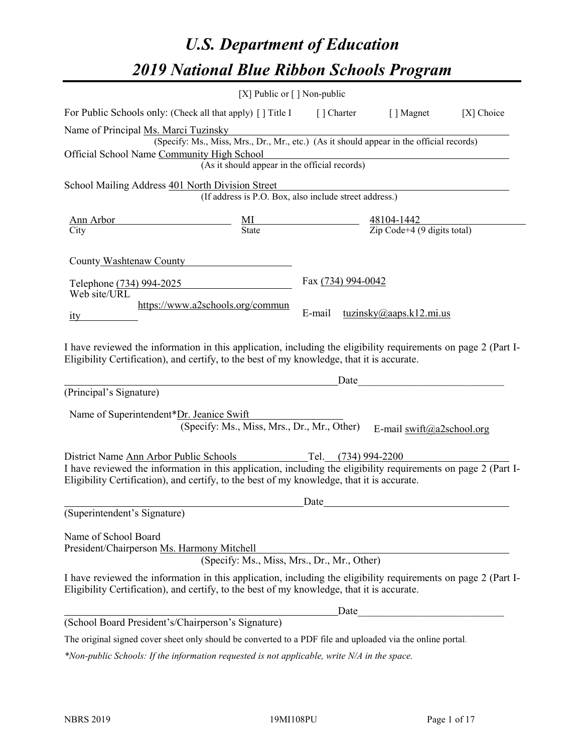# *U.S. Department of Education 2019 National Blue Ribbon Schools Program*

|                                                                                                                                                                                                                                                                            | [X] Public or [] Non-public                                                                                   |                                                                                                                                 |                                                |            |
|----------------------------------------------------------------------------------------------------------------------------------------------------------------------------------------------------------------------------------------------------------------------------|---------------------------------------------------------------------------------------------------------------|---------------------------------------------------------------------------------------------------------------------------------|------------------------------------------------|------------|
| For Public Schools only: (Check all that apply) [] Title I [] Charter [] Magnet                                                                                                                                                                                            |                                                                                                               |                                                                                                                                 |                                                | [X] Choice |
| Name of Principal Ms. Marci Tuzinsky                                                                                                                                                                                                                                       | s. Marci Tuzinsky<br>(Specify: Ms., Miss, Mrs., Dr., Mr., etc.) (As it should appear in the official records) |                                                                                                                                 |                                                |            |
|                                                                                                                                                                                                                                                                            |                                                                                                               |                                                                                                                                 |                                                |            |
| Official School Name Community High School                                                                                                                                                                                                                                 | (As it should appear in the official records)<br>(As it should appear in the official records)                |                                                                                                                                 |                                                |            |
|                                                                                                                                                                                                                                                                            |                                                                                                               |                                                                                                                                 |                                                |            |
| School Mailing Address 401 North Division Street                                                                                                                                                                                                                           |                                                                                                               |                                                                                                                                 |                                                |            |
|                                                                                                                                                                                                                                                                            | (If address is P.O. Box, also include street address.)                                                        |                                                                                                                                 |                                                |            |
|                                                                                                                                                                                                                                                                            |                                                                                                               |                                                                                                                                 |                                                |            |
|                                                                                                                                                                                                                                                                            |                                                                                                               | $\frac{\text{Ann Arbor}}{\text{City}}$ $\frac{\text{MI}}{\text{State}}$ $\frac{48104-1442}{\text{Zip Code}+4 (9 digits total)}$ |                                                |            |
| County Washtenaw County<br>Telephone (734) 994-2025<br>Web site/URL                                                                                                                                                                                                        |                                                                                                               | Fax (734) 994-0042                                                                                                              |                                                |            |
| ity                                                                                                                                                                                                                                                                        | https://www.a2schools.org/commun                                                                              | E-mail                                                                                                                          | tuzinsky(a) aaps.k12.mi.us                     |            |
|                                                                                                                                                                                                                                                                            |                                                                                                               |                                                                                                                                 |                                                |            |
| (Principal's Signature)<br>Name of Superintendent*Dr. Jeanice Swift                                                                                                                                                                                                        | (Specify: Ms., Miss, Mrs., Dr., Mr., Other)                                                                   | Date                                                                                                                            | E-mail $\frac{\text{swift}(a)}{a}$ 2school.org |            |
| District Name Ann Arbor Public Schools Tel. (734) 994-2200<br>I have reviewed the information in this application, including the eligibility requirements on page 2 (Part I-<br>Eligibility Certification), and certify, to the best of my knowledge, that it is accurate. |                                                                                                               |                                                                                                                                 |                                                |            |
|                                                                                                                                                                                                                                                                            |                                                                                                               |                                                                                                                                 |                                                |            |
| (Superintendent's Signature)                                                                                                                                                                                                                                               |                                                                                                               | Date                                                                                                                            |                                                |            |
|                                                                                                                                                                                                                                                                            |                                                                                                               |                                                                                                                                 |                                                |            |
| Name of School Board<br>President/Chairperson Ms. Harmony Mitchell                                                                                                                                                                                                         | (Specify: Ms., Miss, Mrs., Dr., Mr., Other)                                                                   |                                                                                                                                 |                                                |            |
| I have reviewed the information in this application, including the eligibility requirements on page 2 (Part I-<br>Eligibility Certification), and certify, to the best of my knowledge, that it is accurate.                                                               |                                                                                                               |                                                                                                                                 |                                                |            |
|                                                                                                                                                                                                                                                                            |                                                                                                               | Date                                                                                                                            |                                                |            |
| (School Board President's/Chairperson's Signature)                                                                                                                                                                                                                         |                                                                                                               |                                                                                                                                 |                                                |            |
| The original signed cover sheet only should be converted to a PDF file and uploaded via the online portal.                                                                                                                                                                 |                                                                                                               |                                                                                                                                 |                                                |            |

*\*Non-public Schools: If the information requested is not applicable, write N/A in the space.*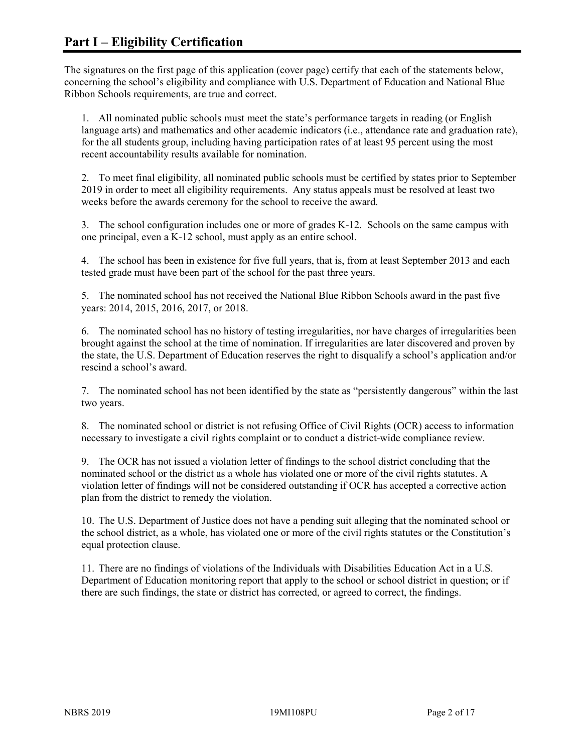The signatures on the first page of this application (cover page) certify that each of the statements below, concerning the school's eligibility and compliance with U.S. Department of Education and National Blue Ribbon Schools requirements, are true and correct.

1. All nominated public schools must meet the state's performance targets in reading (or English language arts) and mathematics and other academic indicators (i.e., attendance rate and graduation rate), for the all students group, including having participation rates of at least 95 percent using the most recent accountability results available for nomination.

2. To meet final eligibility, all nominated public schools must be certified by states prior to September 2019 in order to meet all eligibility requirements. Any status appeals must be resolved at least two weeks before the awards ceremony for the school to receive the award.

3. The school configuration includes one or more of grades K-12. Schools on the same campus with one principal, even a K-12 school, must apply as an entire school.

4. The school has been in existence for five full years, that is, from at least September 2013 and each tested grade must have been part of the school for the past three years.

5. The nominated school has not received the National Blue Ribbon Schools award in the past five years: 2014, 2015, 2016, 2017, or 2018.

6. The nominated school has no history of testing irregularities, nor have charges of irregularities been brought against the school at the time of nomination. If irregularities are later discovered and proven by the state, the U.S. Department of Education reserves the right to disqualify a school's application and/or rescind a school's award.

7. The nominated school has not been identified by the state as "persistently dangerous" within the last two years.

8. The nominated school or district is not refusing Office of Civil Rights (OCR) access to information necessary to investigate a civil rights complaint or to conduct a district-wide compliance review.

9. The OCR has not issued a violation letter of findings to the school district concluding that the nominated school or the district as a whole has violated one or more of the civil rights statutes. A violation letter of findings will not be considered outstanding if OCR has accepted a corrective action plan from the district to remedy the violation.

10. The U.S. Department of Justice does not have a pending suit alleging that the nominated school or the school district, as a whole, has violated one or more of the civil rights statutes or the Constitution's equal protection clause.

11. There are no findings of violations of the Individuals with Disabilities Education Act in a U.S. Department of Education monitoring report that apply to the school or school district in question; or if there are such findings, the state or district has corrected, or agreed to correct, the findings.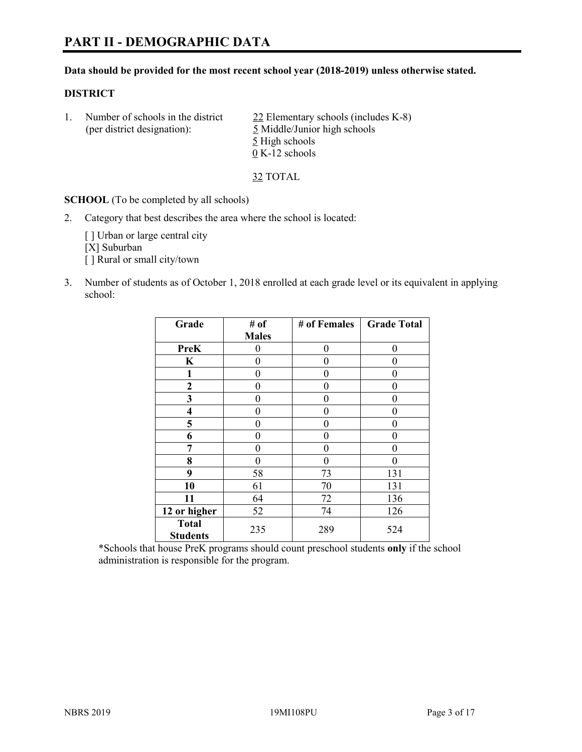#### **Data should be provided for the most recent school year (2018-2019) unless otherwise stated.**

# **DISTRICT**

1. Number of schools in the district 22 Elementary schools (includes K-8) (per district designation): 5 Middle/Junior high schools 5 High schools 0 K-12 schools

32 TOTAL

**SCHOOL** (To be completed by all schools)

2. Category that best describes the area where the school is located:

[ ] Urban or large central city [X] Suburban [] Rural or small city/town

3. Number of students as of October 1, 2018 enrolled at each grade level or its equivalent in applying school:

| Grade                           | # of         | # of Females   | <b>Grade Total</b> |
|---------------------------------|--------------|----------------|--------------------|
|                                 | <b>Males</b> |                |                    |
| <b>PreK</b>                     | 0            | $\overline{0}$ | 0                  |
| K                               | 0            | 0              |                    |
| 1                               | 0            | $\theta$       | 0                  |
| $\mathbf{2}$                    | 0            | 0              | 0                  |
| 3                               | 0            | 0              | 0                  |
| 4                               | 0            | $\theta$       | 0                  |
| 5                               | 0            | $\theta$       | 0                  |
| 6                               | 0            | $\theta$       | 0                  |
| 7                               | 0            | $\theta$       | 0                  |
| 8                               | 0            | 0              | 0                  |
| 9                               | 58           | 73             | 131                |
| 10                              | 61           | 70             | 131                |
| 11                              | 64           | 72             | 136                |
| 12 or higher                    | 52           | 74             | 126                |
| <b>Total</b><br><b>Students</b> | 235          | 289            | 524                |

\*Schools that house PreK programs should count preschool students **only** if the school administration is responsible for the program.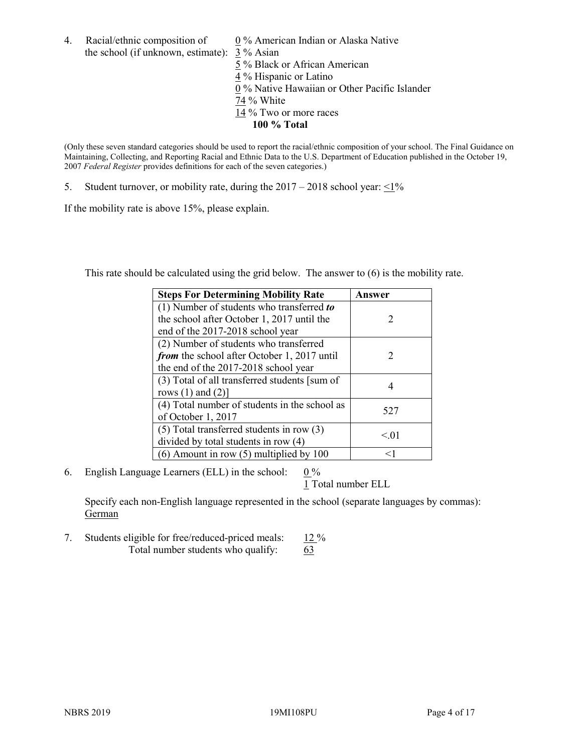4. Racial/ethnic composition of  $0\%$  American Indian or Alaska Native the school (if unknown, estimate): 3 % Asian

 % Black or African American % Hispanic or Latino % Native Hawaiian or Other Pacific Islander 74 % White % Two or more races **100 % Total**

(Only these seven standard categories should be used to report the racial/ethnic composition of your school. The Final Guidance on Maintaining, Collecting, and Reporting Racial and Ethnic Data to the U.S. Department of Education published in the October 19, 2007 *Federal Register* provides definitions for each of the seven categories.)

5. Student turnover, or mobility rate, during the  $2017 - 2018$  school year:  $\leq 1\%$ 

If the mobility rate is above 15%, please explain.

This rate should be calculated using the grid below. The answer to (6) is the mobility rate.

| <b>Steps For Determining Mobility Rate</b>    | Answer                      |
|-----------------------------------------------|-----------------------------|
| (1) Number of students who transferred to     |                             |
| the school after October 1, 2017 until the    | $\mathcal{D}$               |
| end of the 2017-2018 school year              |                             |
| (2) Number of students who transferred        |                             |
| from the school after October 1, 2017 until   | $\mathcal{D}_{\mathcal{L}}$ |
| the end of the 2017-2018 school year          |                             |
| (3) Total of all transferred students [sum of |                             |
| rows $(1)$ and $(2)$ ]                        |                             |
| (4) Total number of students in the school as |                             |
| of October 1, 2017                            | 527                         |
| $(5)$ Total transferred students in row $(3)$ |                             |
| divided by total students in row (4)          | < 0.01                      |
| $(6)$ Amount in row $(5)$ multiplied by 100   |                             |

6. English Language Learners (ELL) in the school:  $0\%$ 

1 Total number ELL

Specify each non-English language represented in the school (separate languages by commas): **German** 

7. Students eligible for free/reduced-priced meals: 12 % Total number students who qualify:  $\frac{63}{5}$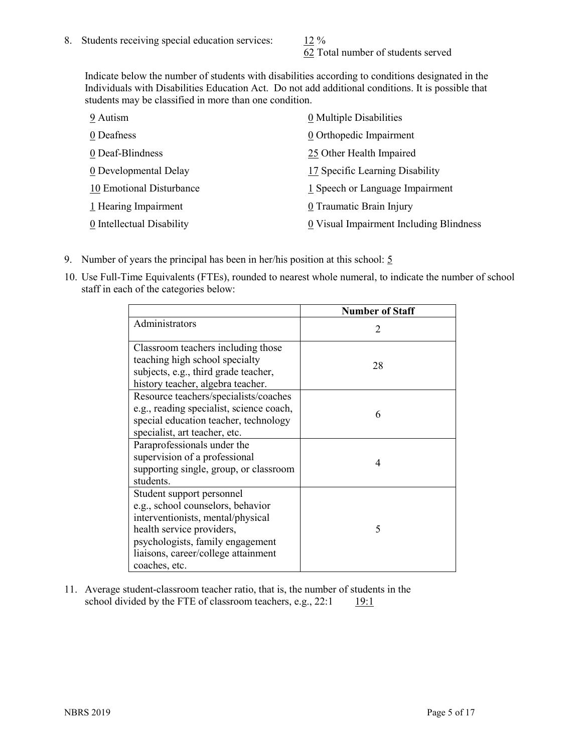62 Total number of students served

Indicate below the number of students with disabilities according to conditions designated in the Individuals with Disabilities Education Act. Do not add additional conditions. It is possible that students may be classified in more than one condition.

| 9 Autism                  | 0 Multiple Disabilities                 |
|---------------------------|-----------------------------------------|
| 0 Deafness                | 0 Orthopedic Impairment                 |
| 0 Deaf-Blindness          | 25 Other Health Impaired                |
| 0 Developmental Delay     | 17 Specific Learning Disability         |
| 10 Emotional Disturbance  | 1 Speech or Language Impairment         |
| 1 Hearing Impairment      | 0 Traumatic Brain Injury                |
| 0 Intellectual Disability | 0 Visual Impairment Including Blindness |

- 9. Number of years the principal has been in her/his position at this school:  $5$
- 10. Use Full-Time Equivalents (FTEs), rounded to nearest whole numeral, to indicate the number of school staff in each of the categories below:

|                                                                                                                                                                                                                              | <b>Number of Staff</b>      |
|------------------------------------------------------------------------------------------------------------------------------------------------------------------------------------------------------------------------------|-----------------------------|
| Administrators                                                                                                                                                                                                               | $\mathcal{D}_{\mathcal{A}}$ |
| Classroom teachers including those<br>teaching high school specialty<br>subjects, e.g., third grade teacher,<br>history teacher, algebra teacher.                                                                            | 28                          |
| Resource teachers/specialists/coaches<br>e.g., reading specialist, science coach,<br>special education teacher, technology<br>specialist, art teacher, etc.                                                                  | 6                           |
| Paraprofessionals under the<br>supervision of a professional<br>supporting single, group, or classroom<br>students.                                                                                                          | 4                           |
| Student support personnel<br>e.g., school counselors, behavior<br>interventionists, mental/physical<br>health service providers,<br>psychologists, family engagement<br>liaisons, career/college attainment<br>coaches, etc. | 5                           |

11. Average student-classroom teacher ratio, that is, the number of students in the school divided by the FTE of classroom teachers, e.g.,  $22:1$  19:1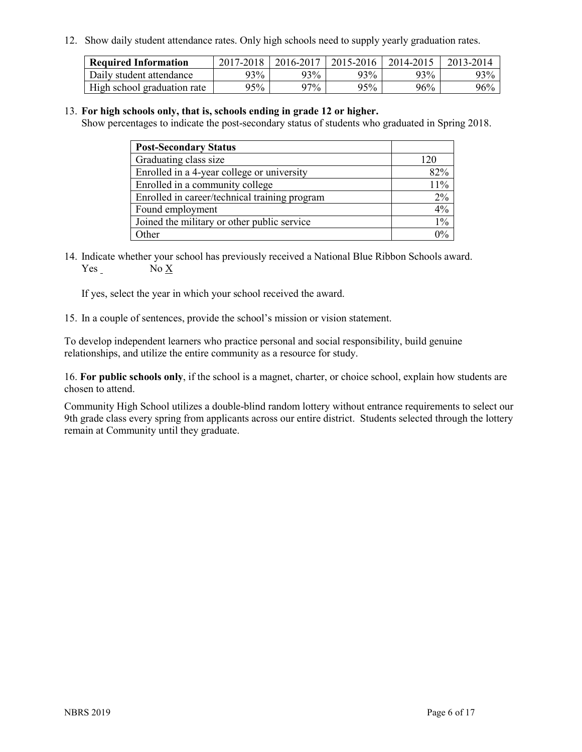12. Show daily student attendance rates. Only high schools need to supply yearly graduation rates.

| <b>Required Information</b> | 2017-2018 | 2016-2017 | 2015-2016 | 2014-2015 | 2013-2014 |
|-----------------------------|-----------|-----------|-----------|-----------|-----------|
| Daily student attendance    | 93%       | 93%       | 93%       | 93%       | 93%       |
| High school graduation rate | $95\%$    | $97\%$    | 95%       | 96%       | 96%       |

#### 13. **For high schools only, that is, schools ending in grade 12 or higher.**

Show percentages to indicate the post-secondary status of students who graduated in Spring 2018.

| <b>Post-Secondary Status</b>                  |       |
|-----------------------------------------------|-------|
| Graduating class size                         | 120   |
| Enrolled in a 4-year college or university    | 82%   |
| Enrolled in a community college               | 11%   |
| Enrolled in career/technical training program | 2%    |
| Found employment                              | 4%    |
| Joined the military or other public service   | $1\%$ |
| Other                                         |       |

14. Indicate whether your school has previously received a National Blue Ribbon Schools award. Yes No X

If yes, select the year in which your school received the award.

15. In a couple of sentences, provide the school's mission or vision statement.

To develop independent learners who practice personal and social responsibility, build genuine relationships, and utilize the entire community as a resource for study.

16. **For public schools only**, if the school is a magnet, charter, or choice school, explain how students are chosen to attend.

Community High School utilizes a double-blind random lottery without entrance requirements to select our 9th grade class every spring from applicants across our entire district. Students selected through the lottery remain at Community until they graduate.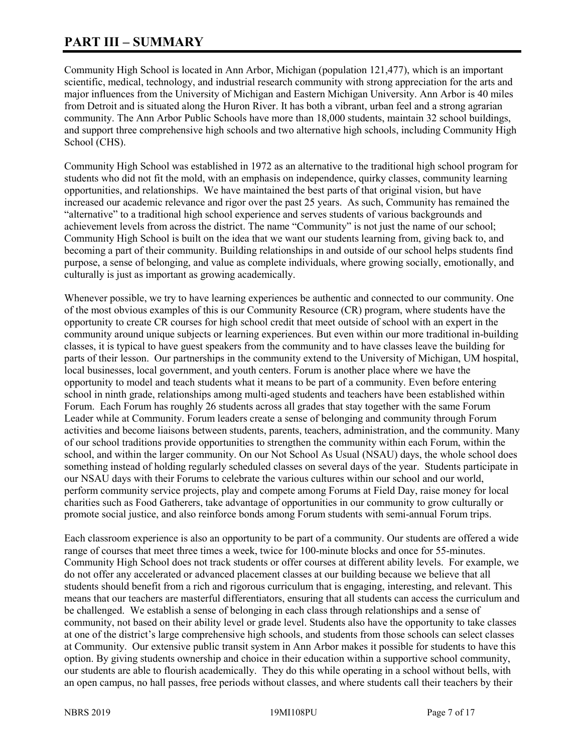# **PART III – SUMMARY**

Community High School is located in Ann Arbor, Michigan (population 121,477), which is an important scientific, medical, technology, and industrial research community with strong appreciation for the arts and major influences from the University of Michigan and Eastern Michigan University. Ann Arbor is 40 miles from Detroit and is situated along the Huron River. It has both a vibrant, urban feel and a strong agrarian community. The Ann Arbor Public Schools have more than 18,000 students, maintain 32 school buildings, and support three comprehensive high schools and two alternative high schools, including Community High School (CHS).

Community High School was established in 1972 as an alternative to the traditional high school program for students who did not fit the mold, with an emphasis on independence, quirky classes, community learning opportunities, and relationships. We have maintained the best parts of that original vision, but have increased our academic relevance and rigor over the past 25 years. As such, Community has remained the "alternative" to a traditional high school experience and serves students of various backgrounds and achievement levels from across the district. The name "Community" is not just the name of our school; Community High School is built on the idea that we want our students learning from, giving back to, and becoming a part of their community. Building relationships in and outside of our school helps students find purpose, a sense of belonging, and value as complete individuals, where growing socially, emotionally, and culturally is just as important as growing academically.

Whenever possible, we try to have learning experiences be authentic and connected to our community. One of the most obvious examples of this is our Community Resource (CR) program, where students have the opportunity to create CR courses for high school credit that meet outside of school with an expert in the community around unique subjects or learning experiences. But even within our more traditional in-building classes, it is typical to have guest speakers from the community and to have classes leave the building for parts of their lesson. Our partnerships in the community extend to the University of Michigan, UM hospital, local businesses, local government, and youth centers. Forum is another place where we have the opportunity to model and teach students what it means to be part of a community. Even before entering school in ninth grade, relationships among multi-aged students and teachers have been established within Forum. Each Forum has roughly 26 students across all grades that stay together with the same Forum Leader while at Community. Forum leaders create a sense of belonging and community through Forum activities and become liaisons between students, parents, teachers, administration, and the community. Many of our school traditions provide opportunities to strengthen the community within each Forum, within the school, and within the larger community. On our Not School As Usual (NSAU) days, the whole school does something instead of holding regularly scheduled classes on several days of the year. Students participate in our NSAU days with their Forums to celebrate the various cultures within our school and our world, perform community service projects, play and compete among Forums at Field Day, raise money for local charities such as Food Gatherers, take advantage of opportunities in our community to grow culturally or promote social justice, and also reinforce bonds among Forum students with semi-annual Forum trips.

Each classroom experience is also an opportunity to be part of a community. Our students are offered a wide range of courses that meet three times a week, twice for 100-minute blocks and once for 55-minutes. Community High School does not track students or offer courses at different ability levels. For example, we do not offer any accelerated or advanced placement classes at our building because we believe that all students should benefit from a rich and rigorous curriculum that is engaging, interesting, and relevant. This means that our teachers are masterful differentiators, ensuring that all students can access the curriculum and be challenged. We establish a sense of belonging in each class through relationships and a sense of community, not based on their ability level or grade level. Students also have the opportunity to take classes at one of the district's large comprehensive high schools, and students from those schools can select classes at Community. Our extensive public transit system in Ann Arbor makes it possible for students to have this option. By giving students ownership and choice in their education within a supportive school community, our students are able to flourish academically. They do this while operating in a school without bells, with an open campus, no hall passes, free periods without classes, and where students call their teachers by their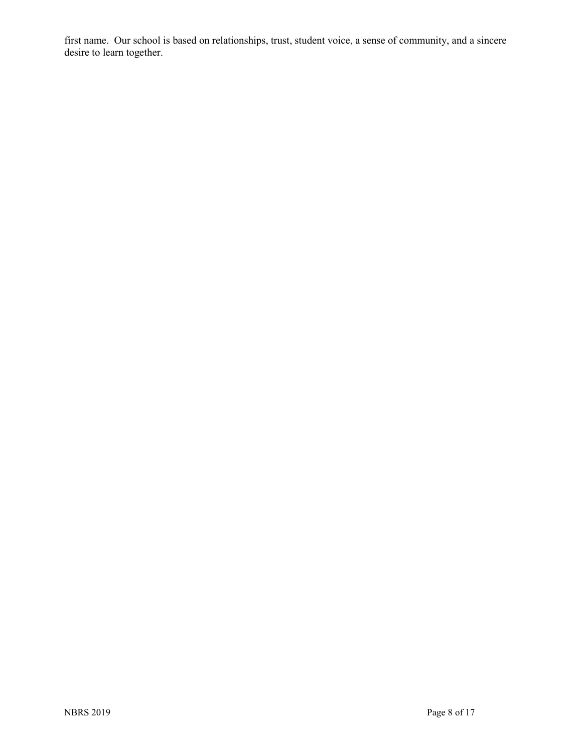first name. Our school is based on relationships, trust, student voice, a sense of community, and a sincere desire to learn together.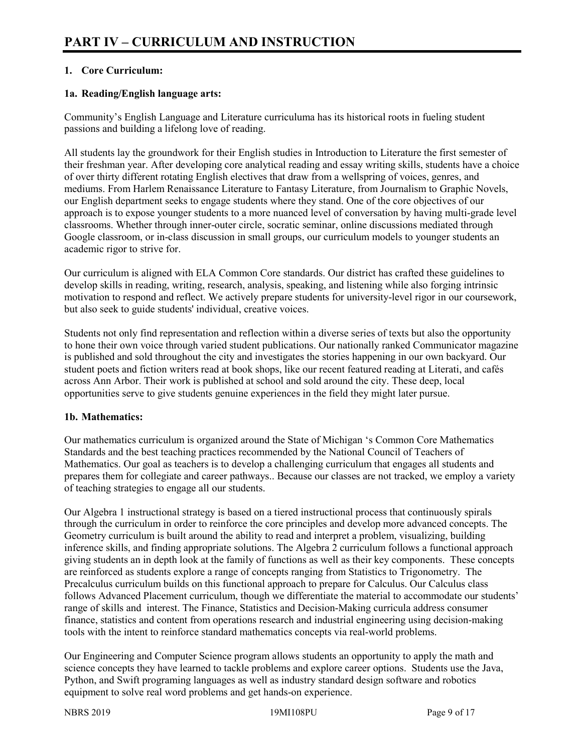# **1. Core Curriculum:**

# **1a. Reading/English language arts:**

Community's English Language and Literature curriculuma has its historical roots in fueling student passions and building a lifelong love of reading.

All students lay the groundwork for their English studies in Introduction to Literature the first semester of their freshman year. After developing core analytical reading and essay writing skills, students have a choice of over thirty different rotating English electives that draw from a wellspring of voices, genres, and mediums. From Harlem Renaissance Literature to Fantasy Literature, from Journalism to Graphic Novels, our English department seeks to engage students where they stand. One of the core objectives of our approach is to expose younger students to a more nuanced level of conversation by having multi-grade level classrooms. Whether through inner-outer circle, socratic seminar, online discussions mediated through Google classroom, or in-class discussion in small groups, our curriculum models to younger students an academic rigor to strive for.

Our curriculum is aligned with ELA Common Core standards. Our district has crafted these guidelines to develop skills in reading, writing, research, analysis, speaking, and listening while also forging intrinsic motivation to respond and reflect. We actively prepare students for university-level rigor in our coursework, but also seek to guide students' individual, creative voices.

Students not only find representation and reflection within a diverse series of texts but also the opportunity to hone their own voice through varied student publications. Our nationally ranked Communicator magazine is published and sold throughout the city and investigates the stories happening in our own backyard. Our student poets and fiction writers read at book shops, like our recent featured reading at Literati, and cafés across Ann Arbor. Their work is published at school and sold around the city. These deep, local opportunities serve to give students genuine experiences in the field they might later pursue.

#### **1b. Mathematics:**

Our mathematics curriculum is organized around the State of Michigan 's Common Core Mathematics Standards and the best teaching practices recommended by the National Council of Teachers of Mathematics. Our goal as teachers is to develop a challenging curriculum that engages all students and prepares them for collegiate and career pathways.. Because our classes are not tracked, we employ a variety of teaching strategies to engage all our students.

Our Algebra 1 instructional strategy is based on a tiered instructional process that continuously spirals through the curriculum in order to reinforce the core principles and develop more advanced concepts. The Geometry curriculum is built around the ability to read and interpret a problem, visualizing, building inference skills, and finding appropriate solutions. The Algebra 2 curriculum follows a functional approach giving students an in depth look at the family of functions as well as their key components. These concepts are reinforced as students explore a range of concepts ranging from Statistics to Trigonometry. The Precalculus curriculum builds on this functional approach to prepare for Calculus. Our Calculus class follows Advanced Placement curriculum, though we differentiate the material to accommodate our students' range of skills and interest. The Finance, Statistics and Decision-Making curricula address consumer finance, statistics and content from operations research and industrial engineering using decision-making tools with the intent to reinforce standard mathematics concepts via real-world problems.

Our Engineering and Computer Science program allows students an opportunity to apply the math and science concepts they have learned to tackle problems and explore career options. Students use the Java, Python, and Swift programing languages as well as industry standard design software and robotics equipment to solve real word problems and get hands-on experience.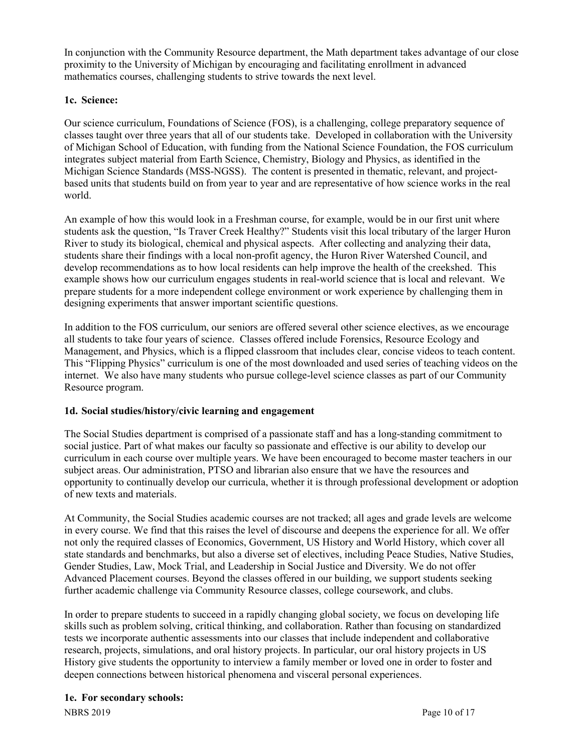In conjunction with the Community Resource department, the Math department takes advantage of our close proximity to the University of Michigan by encouraging and facilitating enrollment in advanced mathematics courses, challenging students to strive towards the next level.

# **1c. Science:**

Our science curriculum, Foundations of Science (FOS), is a challenging, college preparatory sequence of classes taught over three years that all of our students take. Developed in collaboration with the University of Michigan School of Education, with funding from the National Science Foundation, the FOS curriculum integrates subject material from Earth Science, Chemistry, Biology and Physics, as identified in the Michigan Science Standards (MSS-NGSS). The content is presented in thematic, relevant, and projectbased units that students build on from year to year and are representative of how science works in the real world.

An example of how this would look in a Freshman course, for example, would be in our first unit where students ask the question, "Is Traver Creek Healthy?" Students visit this local tributary of the larger Huron River to study its biological, chemical and physical aspects. After collecting and analyzing their data, students share their findings with a local non-profit agency, the Huron River Watershed Council, and develop recommendations as to how local residents can help improve the health of the creekshed. This example shows how our curriculum engages students in real-world science that is local and relevant. We prepare students for a more independent college environment or work experience by challenging them in designing experiments that answer important scientific questions.

In addition to the FOS curriculum, our seniors are offered several other science electives, as we encourage all students to take four years of science. Classes offered include Forensics, Resource Ecology and Management, and Physics, which is a flipped classroom that includes clear, concise videos to teach content. This "Flipping Physics" curriculum is one of the most downloaded and used series of teaching videos on the internet. We also have many students who pursue college-level science classes as part of our Community Resource program.

# **1d. Social studies/history/civic learning and engagement**

The Social Studies department is comprised of a passionate staff and has a long-standing commitment to social justice. Part of what makes our faculty so passionate and effective is our ability to develop our curriculum in each course over multiple years. We have been encouraged to become master teachers in our subject areas. Our administration, PTSO and librarian also ensure that we have the resources and opportunity to continually develop our curricula, whether it is through professional development or adoption of new texts and materials.

At Community, the Social Studies academic courses are not tracked; all ages and grade levels are welcome in every course. We find that this raises the level of discourse and deepens the experience for all. We offer not only the required classes of Economics, Government, US History and World History, which cover all state standards and benchmarks, but also a diverse set of electives, including Peace Studies, Native Studies, Gender Studies, Law, Mock Trial, and Leadership in Social Justice and Diversity. We do not offer Advanced Placement courses. Beyond the classes offered in our building, we support students seeking further academic challenge via Community Resource classes, college coursework, and clubs.

In order to prepare students to succeed in a rapidly changing global society, we focus on developing life skills such as problem solving, critical thinking, and collaboration. Rather than focusing on standardized tests we incorporate authentic assessments into our classes that include independent and collaborative research, projects, simulations, and oral history projects. In particular, our oral history projects in US History give students the opportunity to interview a family member or loved one in order to foster and deepen connections between historical phenomena and visceral personal experiences.

#### **1e. For secondary schools:**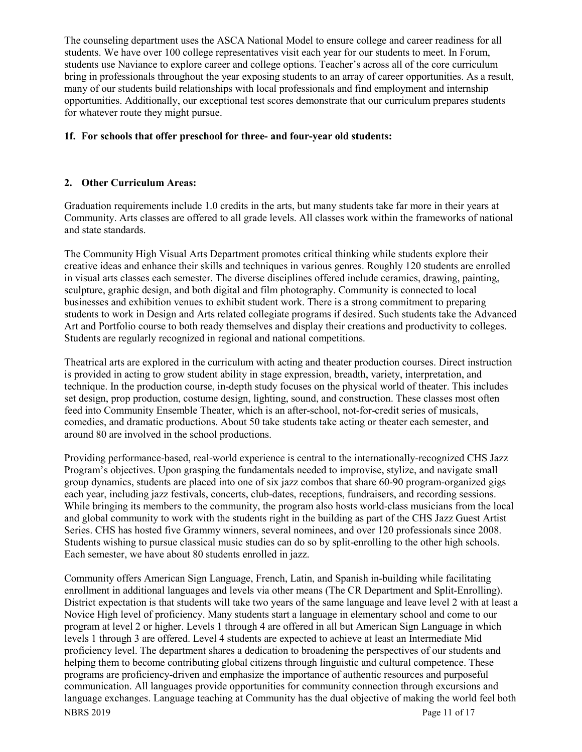The counseling department uses the ASCA National Model to ensure college and career readiness for all students. We have over 100 college representatives visit each year for our students to meet. In Forum, students use Naviance to explore career and college options. Teacher's across all of the core curriculum bring in professionals throughout the year exposing students to an array of career opportunities. As a result, many of our students build relationships with local professionals and find employment and internship opportunities. Additionally, our exceptional test scores demonstrate that our curriculum prepares students for whatever route they might pursue.

# **1f. For schools that offer preschool for three- and four-year old students:**

# **2. Other Curriculum Areas:**

Graduation requirements include 1.0 credits in the arts, but many students take far more in their years at Community. Arts classes are offered to all grade levels. All classes work within the frameworks of national and state standards.

The Community High Visual Arts Department promotes critical thinking while students explore their creative ideas and enhance their skills and techniques in various genres. Roughly 120 students are enrolled in visual arts classes each semester. The diverse disciplines offered include ceramics, drawing, painting, sculpture, graphic design, and both digital and film photography. Community is connected to local businesses and exhibition venues to exhibit student work. There is a strong commitment to preparing students to work in Design and Arts related collegiate programs if desired. Such students take the Advanced Art and Portfolio course to both ready themselves and display their creations and productivity to colleges. Students are regularly recognized in regional and national competitions.

Theatrical arts are explored in the curriculum with acting and theater production courses. Direct instruction is provided in acting to grow student ability in stage expression, breadth, variety, interpretation, and technique. In the production course, in-depth study focuses on the physical world of theater. This includes set design, prop production, costume design, lighting, sound, and construction. These classes most often feed into Community Ensemble Theater, which is an after-school, not-for-credit series of musicals, comedies, and dramatic productions. About 50 take students take acting or theater each semester, and around 80 are involved in the school productions.

Providing performance-based, real-world experience is central to the internationally-recognized CHS Jazz Program's objectives. Upon grasping the fundamentals needed to improvise, stylize, and navigate small group dynamics, students are placed into one of six jazz combos that share 60-90 program-organized gigs each year, including jazz festivals, concerts, club-dates, receptions, fundraisers, and recording sessions. While bringing its members to the community, the program also hosts world-class musicians from the local and global community to work with the students right in the building as part of the CHS Jazz Guest Artist Series. CHS has hosted five Grammy winners, several nominees, and over 120 professionals since 2008. Students wishing to pursue classical music studies can do so by split-enrolling to the other high schools. Each semester, we have about 80 students enrolled in jazz.

NBRS 2019 Page 11 of 17 Community offers American Sign Language, French, Latin, and Spanish in-building while facilitating enrollment in additional languages and levels via other means (The CR Department and Split-Enrolling). District expectation is that students will take two years of the same language and leave level 2 with at least a Novice High level of proficiency. Many students start a language in elementary school and come to our program at level 2 or higher. Levels 1 through 4 are offered in all but American Sign Language in which levels 1 through 3 are offered. Level 4 students are expected to achieve at least an Intermediate Mid proficiency level. The department shares a dedication to broadening the perspectives of our students and helping them to become contributing global citizens through linguistic and cultural competence. These programs are proficiency-driven and emphasize the importance of authentic resources and purposeful communication. All languages provide opportunities for community connection through excursions and language exchanges. Language teaching at Community has the dual objective of making the world feel both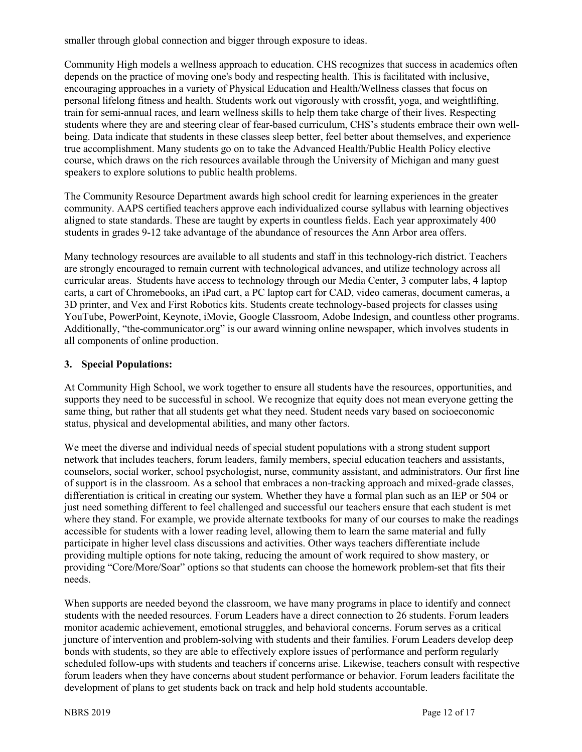smaller through global connection and bigger through exposure to ideas.

Community High models a wellness approach to education. CHS recognizes that success in academics often depends on the practice of moving one's body and respecting health. This is facilitated with inclusive, encouraging approaches in a variety of Physical Education and Health/Wellness classes that focus on personal lifelong fitness and health. Students work out vigorously with crossfit, yoga, and weightlifting, train for semi-annual races, and learn wellness skills to help them take charge of their lives. Respecting students where they are and steering clear of fear-based curriculum, CHS's students embrace their own wellbeing. Data indicate that students in these classes sleep better, feel better about themselves, and experience true accomplishment. Many students go on to take the Advanced Health/Public Health Policy elective course, which draws on the rich resources available through the University of Michigan and many guest speakers to explore solutions to public health problems.

The Community Resource Department awards high school credit for learning experiences in the greater community. AAPS certified teachers approve each individualized course syllabus with learning objectives aligned to state standards. These are taught by experts in countless fields. Each year approximately 400 students in grades 9-12 take advantage of the abundance of resources the Ann Arbor area offers.

Many technology resources are available to all students and staff in this technology-rich district. Teachers are strongly encouraged to remain current with technological advances, and utilize technology across all curricular areas. Students have access to technology through our Media Center, 3 computer labs, 4 laptop carts, a cart of Chromebooks, an iPad cart, a PC laptop cart for CAD, video cameras, document cameras, a 3D printer, and Vex and First Robotics kits. Students create technology-based projects for classes using YouTube, PowerPoint, Keynote, iMovie, Google Classroom, Adobe Indesign, and countless other programs. Additionally, "the-communicator.org" is our award winning online newspaper, which involves students in all components of online production.

# **3. Special Populations:**

At Community High School, we work together to ensure all students have the resources, opportunities, and supports they need to be successful in school. We recognize that equity does not mean everyone getting the same thing, but rather that all students get what they need. Student needs vary based on socioeconomic status, physical and developmental abilities, and many other factors.

We meet the diverse and individual needs of special student populations with a strong student support network that includes teachers, forum leaders, family members, special education teachers and assistants, counselors, social worker, school psychologist, nurse, community assistant, and administrators. Our first line of support is in the classroom. As a school that embraces a non-tracking approach and mixed-grade classes, differentiation is critical in creating our system. Whether they have a formal plan such as an IEP or 504 or just need something different to feel challenged and successful our teachers ensure that each student is met where they stand. For example, we provide alternate textbooks for many of our courses to make the readings accessible for students with a lower reading level, allowing them to learn the same material and fully participate in higher level class discussions and activities. Other ways teachers differentiate include providing multiple options for note taking, reducing the amount of work required to show mastery, or providing "Core/More/Soar" options so that students can choose the homework problem-set that fits their needs.

When supports are needed beyond the classroom, we have many programs in place to identify and connect students with the needed resources. Forum Leaders have a direct connection to 26 students. Forum leaders monitor academic achievement, emotional struggles, and behavioral concerns. Forum serves as a critical juncture of intervention and problem-solving with students and their families. Forum Leaders develop deep bonds with students, so they are able to effectively explore issues of performance and perform regularly scheduled follow-ups with students and teachers if concerns arise. Likewise, teachers consult with respective forum leaders when they have concerns about student performance or behavior. Forum leaders facilitate the development of plans to get students back on track and help hold students accountable.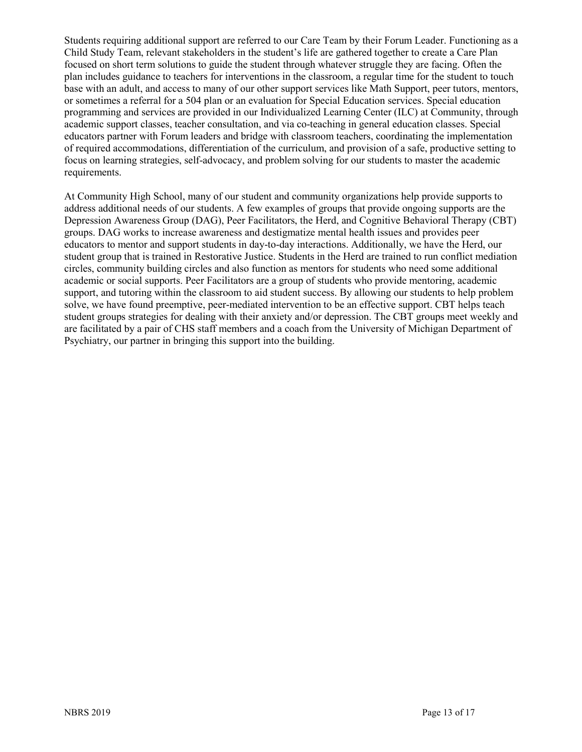Students requiring additional support are referred to our Care Team by their Forum Leader. Functioning as a Child Study Team, relevant stakeholders in the student's life are gathered together to create a Care Plan focused on short term solutions to guide the student through whatever struggle they are facing. Often the plan includes guidance to teachers for interventions in the classroom, a regular time for the student to touch base with an adult, and access to many of our other support services like Math Support, peer tutors, mentors, or sometimes a referral for a 504 plan or an evaluation for Special Education services. Special education programming and services are provided in our Individualized Learning Center (ILC) at Community, through academic support classes, teacher consultation, and via co-teaching in general education classes. Special educators partner with Forum leaders and bridge with classroom teachers, coordinating the implementation of required accommodations, differentiation of the curriculum, and provision of a safe, productive setting to focus on learning strategies, self-advocacy, and problem solving for our students to master the academic requirements.

At Community High School, many of our student and community organizations help provide supports to address additional needs of our students. A few examples of groups that provide ongoing supports are the Depression Awareness Group (DAG), Peer Facilitators, the Herd, and Cognitive Behavioral Therapy (CBT) groups. DAG works to increase awareness and destigmatize mental health issues and provides peer educators to mentor and support students in day-to-day interactions. Additionally, we have the Herd, our student group that is trained in Restorative Justice. Students in the Herd are trained to run conflict mediation circles, community building circles and also function as mentors for students who need some additional academic or social supports. Peer Facilitators are a group of students who provide mentoring, academic support, and tutoring within the classroom to aid student success. By allowing our students to help problem solve, we have found preemptive, peer-mediated intervention to be an effective support. CBT helps teach student groups strategies for dealing with their anxiety and/or depression. The CBT groups meet weekly and are facilitated by a pair of CHS staff members and a coach from the University of Michigan Department of Psychiatry, our partner in bringing this support into the building.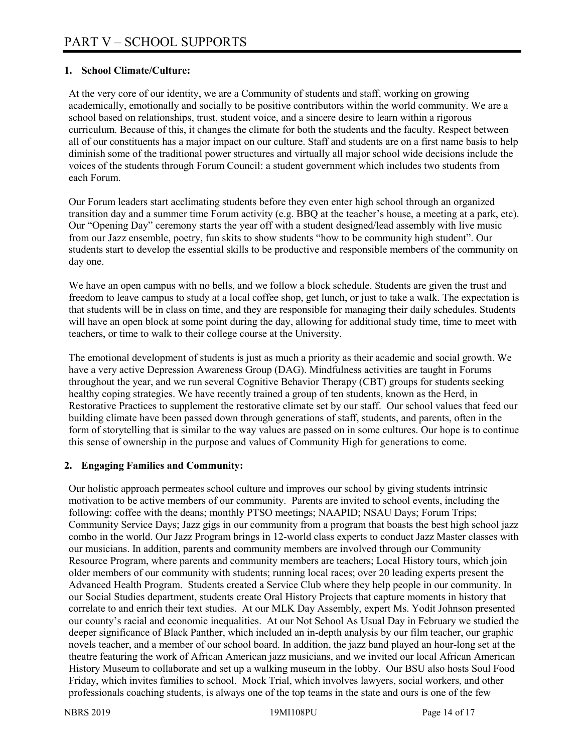# **1. School Climate/Culture:**

At the very core of our identity, we are a Community of students and staff, working on growing academically, emotionally and socially to be positive contributors within the world community. We are a school based on relationships, trust, student voice, and a sincere desire to learn within a rigorous curriculum. Because of this, it changes the climate for both the students and the faculty. Respect between all of our constituents has a major impact on our culture. Staff and students are on a first name basis to help diminish some of the traditional power structures and virtually all major school wide decisions include the voices of the students through Forum Council: a student government which includes two students from each Forum.

Our Forum leaders start acclimating students before they even enter high school through an organized transition day and a summer time Forum activity (e.g. BBQ at the teacher's house, a meeting at a park, etc). Our "Opening Day" ceremony starts the year off with a student designed/lead assembly with live music from our Jazz ensemble, poetry, fun skits to show students "how to be community high student". Our students start to develop the essential skills to be productive and responsible members of the community on day one.

We have an open campus with no bells, and we follow a block schedule. Students are given the trust and freedom to leave campus to study at a local coffee shop, get lunch, or just to take a walk. The expectation is that students will be in class on time, and they are responsible for managing their daily schedules. Students will have an open block at some point during the day, allowing for additional study time, time to meet with teachers, or time to walk to their college course at the University.

The emotional development of students is just as much a priority as their academic and social growth. We have a very active Depression Awareness Group (DAG). Mindfulness activities are taught in Forums throughout the year, and we run several Cognitive Behavior Therapy (CBT) groups for students seeking healthy coping strategies. We have recently trained a group of ten students, known as the Herd, in Restorative Practices to supplement the restorative climate set by our staff. Our school values that feed our building climate have been passed down through generations of staff, students, and parents, often in the form of storytelling that is similar to the way values are passed on in some cultures. Our hope is to continue this sense of ownership in the purpose and values of Community High for generations to come.

# **2. Engaging Families and Community:**

Our holistic approach permeates school culture and improves our school by giving students intrinsic motivation to be active members of our community. Parents are invited to school events, including the following: coffee with the deans; monthly PTSO meetings; NAAPID; NSAU Days; Forum Trips; Community Service Days; Jazz gigs in our community from a program that boasts the best high school jazz combo in the world. Our Jazz Program brings in 12-world class experts to conduct Jazz Master classes with our musicians. In addition, parents and community members are involved through our Community Resource Program, where parents and community members are teachers; Local History tours, which join older members of our community with students; running local races; over 20 leading experts present the Advanced Health Program. Students created a Service Club where they help people in our community. In our Social Studies department, students create Oral History Projects that capture moments in history that correlate to and enrich their text studies. At our MLK Day Assembly, expert Ms. Yodit Johnson presented our county's racial and economic inequalities. At our Not School As Usual Day in February we studied the deeper significance of Black Panther, which included an in-depth analysis by our film teacher, our graphic novels teacher, and a member of our school board. In addition, the jazz band played an hour-long set at the theatre featuring the work of African American jazz musicians, and we invited our local African American History Museum to collaborate and set up a walking museum in the lobby. Our BSU also hosts Soul Food Friday, which invites families to school. Mock Trial, which involves lawyers, social workers, and other professionals coaching students, is always one of the top teams in the state and ours is one of the few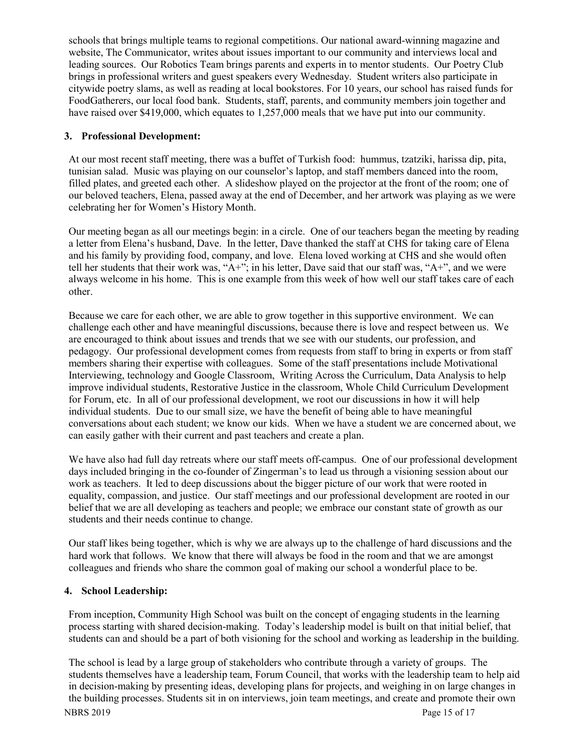schools that brings multiple teams to regional competitions. Our national award-winning magazine and website, The Communicator, writes about issues important to our community and interviews local and leading sources. Our Robotics Team brings parents and experts in to mentor students. Our Poetry Club brings in professional writers and guest speakers every Wednesday. Student writers also participate in citywide poetry slams, as well as reading at local bookstores. For 10 years, our school has raised funds for FoodGatherers, our local food bank. Students, staff, parents, and community members join together and have raised over \$419,000, which equates to 1,257,000 meals that we have put into our community.

# **3. Professional Development:**

At our most recent staff meeting, there was a buffet of Turkish food: hummus, tzatziki, harissa dip, pita, tunisian salad. Music was playing on our counselor's laptop, and staff members danced into the room, filled plates, and greeted each other. A slideshow played on the projector at the front of the room; one of our beloved teachers, Elena, passed away at the end of December, and her artwork was playing as we were celebrating her for Women's History Month.

Our meeting began as all our meetings begin: in a circle. One of our teachers began the meeting by reading a letter from Elena's husband, Dave. In the letter, Dave thanked the staff at CHS for taking care of Elena and his family by providing food, company, and love. Elena loved working at CHS and she would often tell her students that their work was, " $A^{+}$ "; in his letter, Dave said that our staff was, " $A^{+}$ ", and we were always welcome in his home. This is one example from this week of how well our staff takes care of each other.

Because we care for each other, we are able to grow together in this supportive environment. We can challenge each other and have meaningful discussions, because there is love and respect between us. We are encouraged to think about issues and trends that we see with our students, our profession, and pedagogy. Our professional development comes from requests from staff to bring in experts or from staff members sharing their expertise with colleagues. Some of the staff presentations include Motivational Interviewing, technology and Google Classroom, Writing Across the Curriculum, Data Analysis to help improve individual students, Restorative Justice in the classroom, Whole Child Curriculum Development for Forum, etc. In all of our professional development, we root our discussions in how it will help individual students. Due to our small size, we have the benefit of being able to have meaningful conversations about each student; we know our kids. When we have a student we are concerned about, we can easily gather with their current and past teachers and create a plan.

We have also had full day retreats where our staff meets off-campus. One of our professional development days included bringing in the co-founder of Zingerman's to lead us through a visioning session about our work as teachers. It led to deep discussions about the bigger picture of our work that were rooted in equality, compassion, and justice. Our staff meetings and our professional development are rooted in our belief that we are all developing as teachers and people; we embrace our constant state of growth as our students and their needs continue to change.

Our staff likes being together, which is why we are always up to the challenge of hard discussions and the hard work that follows. We know that there will always be food in the room and that we are amongst colleagues and friends who share the common goal of making our school a wonderful place to be.

# **4. School Leadership:**

From inception, Community High School was built on the concept of engaging students in the learning process starting with shared decision-making. Today's leadership model is built on that initial belief, that students can and should be a part of both visioning for the school and working as leadership in the building.

NBRS 2019 Page 15 of 17 The school is lead by a large group of stakeholders who contribute through a variety of groups. The students themselves have a leadership team, Forum Council, that works with the leadership team to help aid in decision-making by presenting ideas, developing plans for projects, and weighing in on large changes in the building processes. Students sit in on interviews, join team meetings, and create and promote their own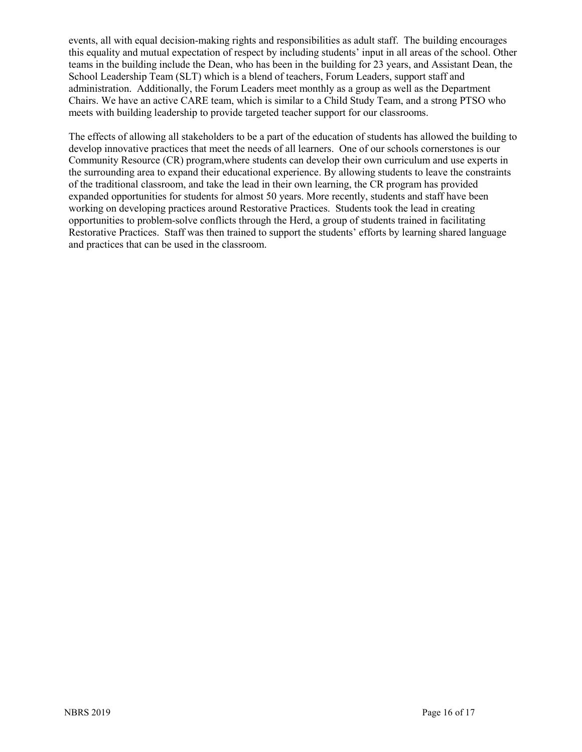events, all with equal decision-making rights and responsibilities as adult staff. The building encourages this equality and mutual expectation of respect by including students' input in all areas of the school. Other teams in the building include the Dean, who has been in the building for 23 years, and Assistant Dean, the School Leadership Team (SLT) which is a blend of teachers, Forum Leaders, support staff and administration. Additionally, the Forum Leaders meet monthly as a group as well as the Department Chairs. We have an active CARE team, which is similar to a Child Study Team, and a strong PTSO who meets with building leadership to provide targeted teacher support for our classrooms.

The effects of allowing all stakeholders to be a part of the education of students has allowed the building to develop innovative practices that meet the needs of all learners. One of our schools cornerstones is our Community Resource (CR) program,where students can develop their own curriculum and use experts in the surrounding area to expand their educational experience. By allowing students to leave the constraints of the traditional classroom, and take the lead in their own learning, the CR program has provided expanded opportunities for students for almost 50 years. More recently, students and staff have been working on developing practices around Restorative Practices. Students took the lead in creating opportunities to problem-solve conflicts through the Herd, a group of students trained in facilitating Restorative Practices. Staff was then trained to support the students' efforts by learning shared language and practices that can be used in the classroom.